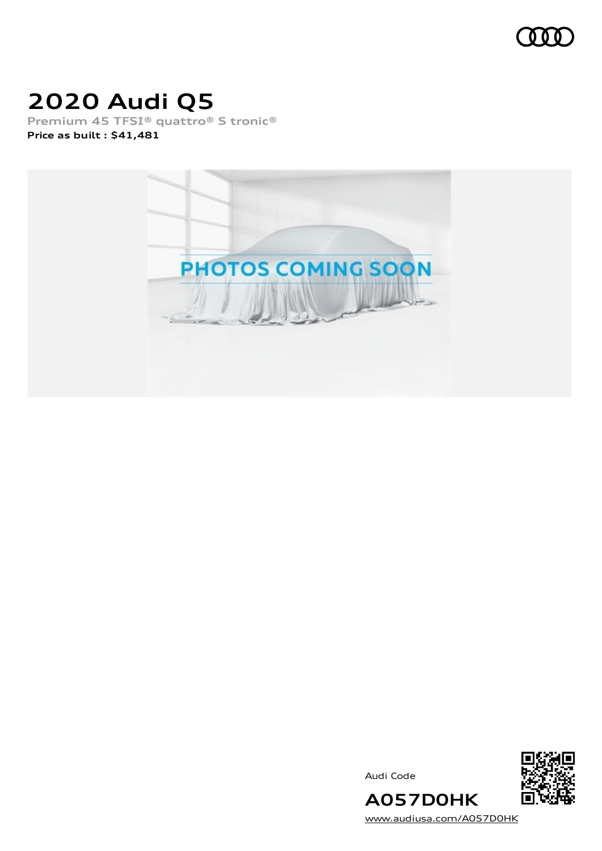

# **2020 Audi Q5**

**Premium 45 TFSI® quattro® S tronic® Price as built [:](#page-8-0) \$41,481**



Audi Code



[www.audiusa.com/A057D0HK](https://www.audiusa.com/A057D0HK)

**A057D0HK**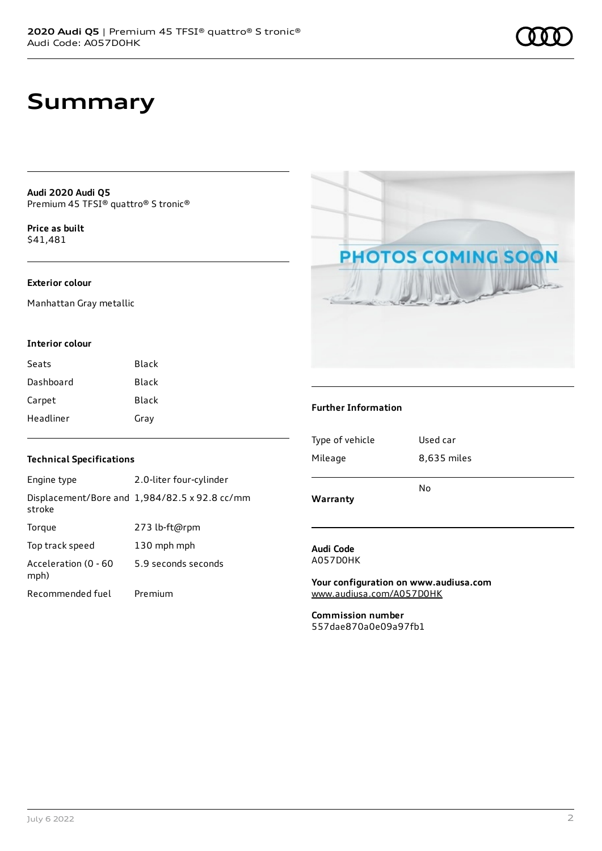# **Summary**

**Audi 2020 Audi Q5** Premium 45 TFSI® quattro® S tronic®

**Price as buil[t](#page-8-0)** \$41,481

### **Exterior colour**

Manhattan Gray metallic

#### **Interior colour**

| Seats     | Black |
|-----------|-------|
| Dashboard | Black |
| Carpet    | Black |
| Headliner | Gray  |

### **Technical Specifications**

| Engine type                  | 2.0-liter four-cylinder                       |
|------------------------------|-----------------------------------------------|
| stroke                       | Displacement/Bore and 1,984/82.5 x 92.8 cc/mm |
| Torque                       | 273 lb-ft@rpm                                 |
| Top track speed              | 130 mph mph                                   |
| Acceleration (0 - 60<br>mph) | 5.9 seconds seconds                           |
| Recommended fuel             | Premium                                       |



### **Further Information**

| Warranty        |             |
|-----------------|-------------|
|                 | No          |
| Mileage         | 8,635 miles |
| Type of vehicle | Used car    |
|                 |             |

#### **Audi Code** A057D0HK

**Your configuration on www.audiusa.com** [www.audiusa.com/A057D0HK](https://www.audiusa.com/A057D0HK)

**Commission number** 557dae870a0e09a97fb1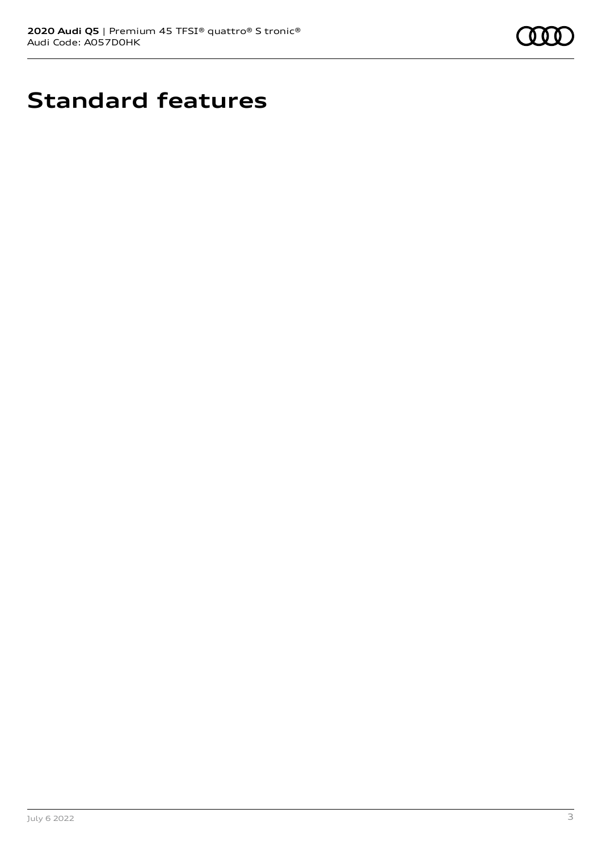

# **Standard features**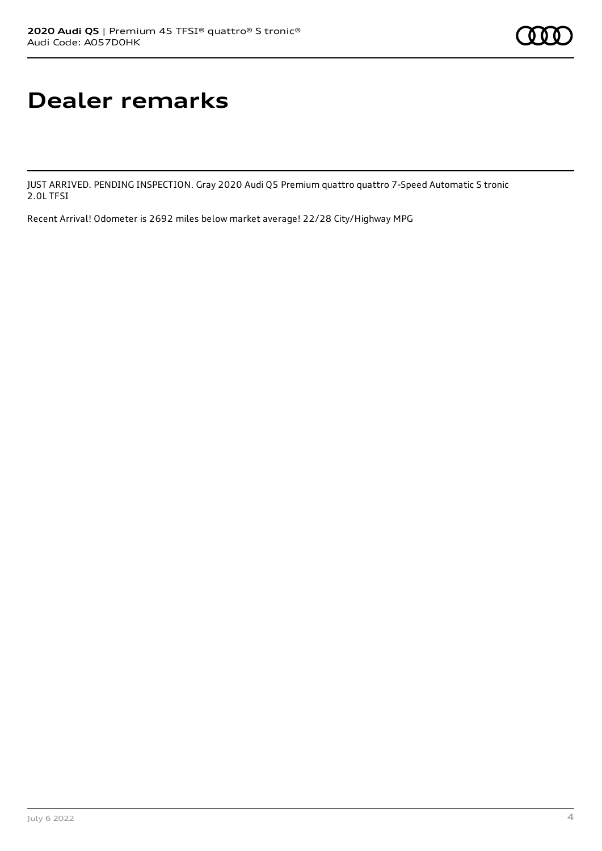# **Dealer remarks**

JUST ARRIVED. PENDING INSPECTION. Gray 2020 Audi Q5 Premium quattro quattro 7-Speed Automatic S tronic 2.0L TFSI

Recent Arrival! Odometer is 2692 miles below market average! 22/28 City/Highway MPG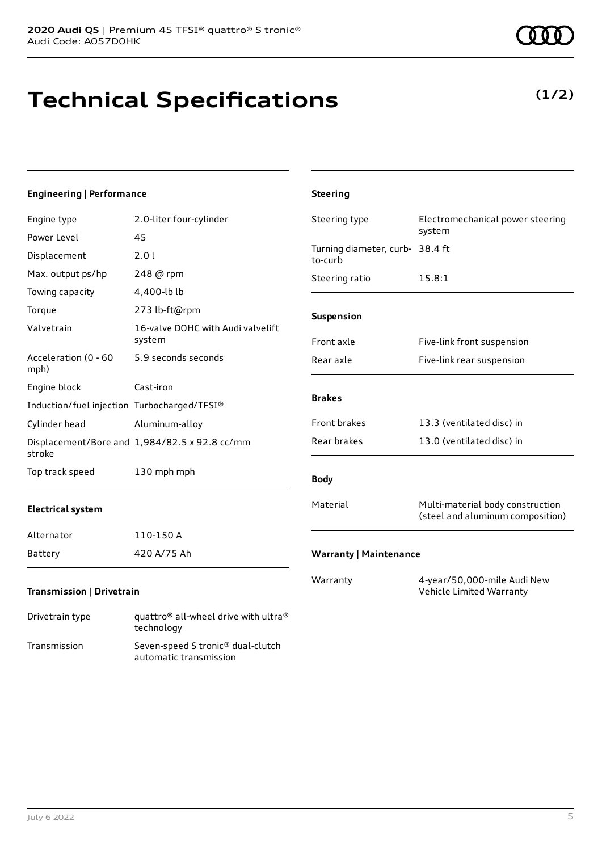Transmission Seven-speed S tronic® dual-clutch

automatic transmission

# **Technical Specifications**

**(1/2)**

| Engineering   Performance                   |                                                                            | <b>Steering</b>                 |                                                                      |
|---------------------------------------------|----------------------------------------------------------------------------|---------------------------------|----------------------------------------------------------------------|
| Engine type                                 | 2.0-liter four-cylinder                                                    | Steering type                   | Electromechanical power steering<br>system                           |
| Power Level                                 | 45                                                                         | Turning diameter, curb- 38.4 ft |                                                                      |
| Displacement                                | 2.01                                                                       | to-curb                         |                                                                      |
| Max. output ps/hp                           | 248 @ rpm                                                                  | Steering ratio                  | 15.8:1                                                               |
| Towing capacity                             | 4,400-lb lb                                                                |                                 |                                                                      |
| Torque                                      | 273 lb-ft@rpm                                                              | Suspension                      |                                                                      |
| Valvetrain                                  | 16-valve DOHC with Audi valvelift<br>system                                | Front axle                      | Five-link front suspension                                           |
| Acceleration (0 - 60<br>mph)                | 5.9 seconds seconds                                                        | Rear axle                       | Five-link rear suspension                                            |
| Engine block                                | Cast-iron                                                                  |                                 |                                                                      |
| Induction/fuel injection Turbocharged/TFSI® |                                                                            | <b>Brakes</b>                   |                                                                      |
| Cylinder head                               | Aluminum-alloy                                                             | Front brakes                    | 13.3 (ventilated disc) in                                            |
| stroke                                      | Displacement/Bore and 1,984/82.5 x 92.8 cc/mm                              | Rear brakes                     | 13.0 (ventilated disc) in                                            |
| Top track speed                             | 130 mph mph                                                                | <b>Body</b>                     |                                                                      |
| <b>Electrical system</b>                    |                                                                            | Material                        | Multi-material body construction<br>(steel and aluminum composition) |
| Alternator                                  | 110-150 A                                                                  |                                 |                                                                      |
| Battery                                     | 420 A/75 Ah                                                                | <b>Warranty   Maintenance</b>   |                                                                      |
| Transmission   Drivetrain                   |                                                                            | Warranty                        | 4-year/50,000-mile Audi New<br>Vehicle Limited Warranty              |
| Drivetrain type                             | quattro <sup>®</sup> all-wheel drive with ultra <sup>®</sup><br>technology |                                 |                                                                      |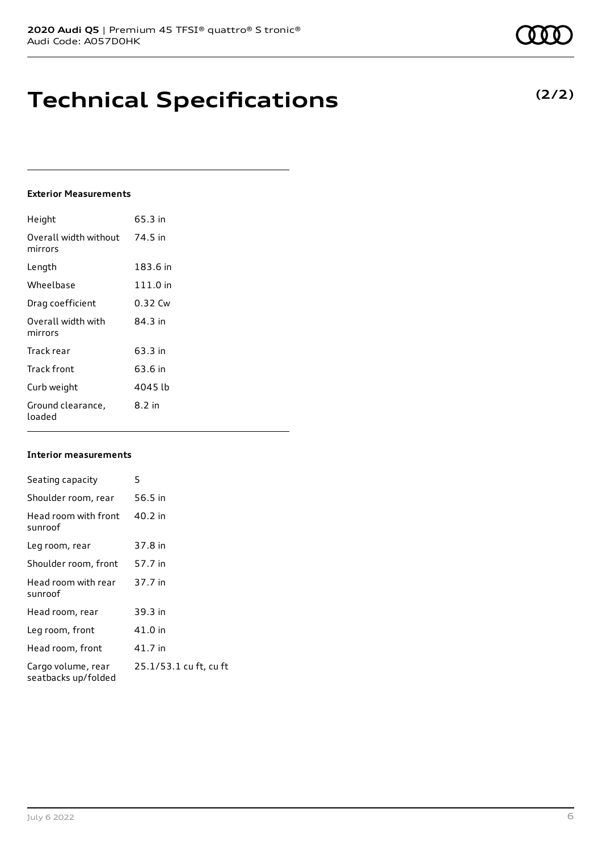# **Technical Specifications**

### **Exterior Measurements**

| Height                           | 65.3 in    |
|----------------------------------|------------|
| Overall width without<br>mirrors | 74.5 in    |
| Length                           | 183.6 in   |
| Wheelbase                        | $111.0$ in |
| Drag coefficient                 | 0.32 Cw    |
| Overall width with<br>mirrors    | 84 3 in    |
| Track rear                       | 63.3 in    |
| Track front                      | 63.6 in    |
| Curb weight                      | 4045 lb    |
| Ground clearance,<br>loaded      | $8.2$ in   |

### **Interior measurements**

| Seating capacity                          | 5                      |
|-------------------------------------------|------------------------|
| Shoulder room, rear                       | 56.5 in                |
| Head room with front<br>sunroof           | 40.2 in                |
| Leg room, rear                            | 37.8 in                |
| Shoulder room, front                      | 57.7 in                |
| Head room with rear<br>sunroof            | 37.7 in                |
| Head room, rear                           | 39.3 in                |
| Leg room, front                           | 41.0 in                |
| Head room, front                          | 41.7 in                |
| Cargo volume, rear<br>seatbacks up/folded | 25.1/53.1 cu ft, cu ft |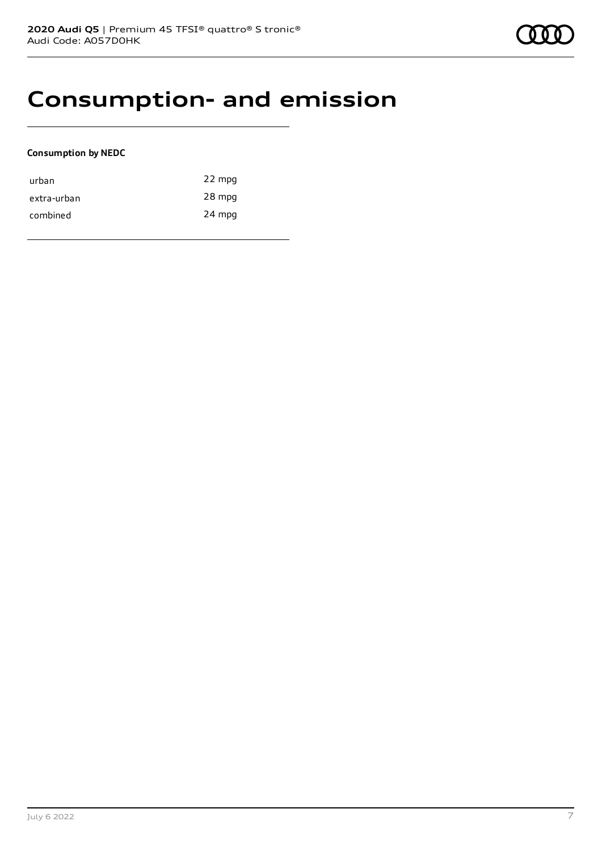### **Consumption- and emission**

### **Consumption by NEDC**

| urban       | 22 mpg |
|-------------|--------|
| extra-urban | 28 mpg |
| combined    | 24 mpg |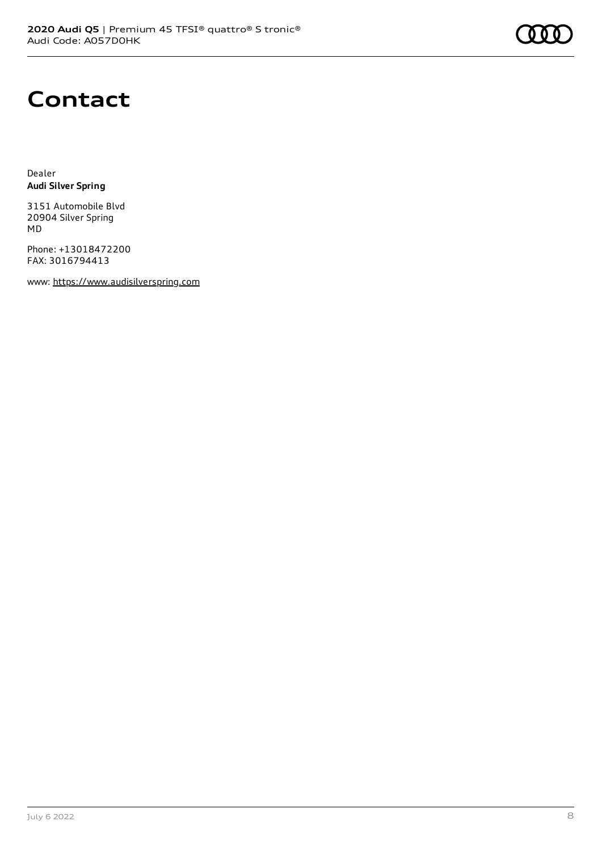# **Contact**

Dealer **Audi Silver Spring**

3151 Automobile Blvd 20904 Silver Spring MD

Phone: +13018472200 FAX: 3016794413

www: [https://www.audisilverspring.com](https://www.audisilverspring.com/)